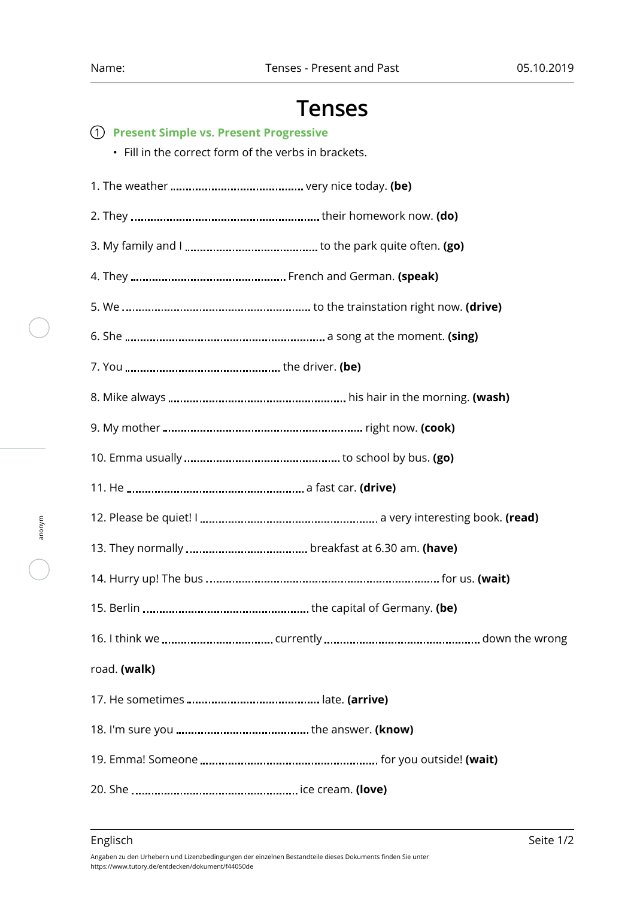## **Tenses**

| (1) Present Simple vs. Present Progressive<br>• Fill in the correct form of the verbs in brackets. |
|----------------------------------------------------------------------------------------------------|
|                                                                                                    |
|                                                                                                    |
|                                                                                                    |
|                                                                                                    |
|                                                                                                    |
|                                                                                                    |
|                                                                                                    |
|                                                                                                    |
|                                                                                                    |
|                                                                                                    |
|                                                                                                    |
|                                                                                                    |
|                                                                                                    |
|                                                                                                    |
|                                                                                                    |
|                                                                                                    |
| road. (walk)                                                                                       |
|                                                                                                    |
|                                                                                                    |
|                                                                                                    |
|                                                                                                    |

anonym